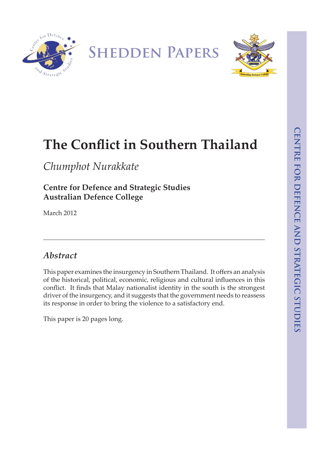



# **The Conflict in Southern Thailand**

*Chumphot Nurakkate*

# **Centre for Defence and Strategic Studies Australian Defence College**

March 2012

# *Abstract*

This paper examines the insurgency in Southern Thailand. It offers an analysis of the historical, political, economic, religious and cultural influences in this conflict. It finds that Malay nationalist identity in the south is the strongest driver of the insurgency, and it suggests that the government needs to reassess its response in order to bring the violence to a satisfactory end.

This paper is 20 pages long.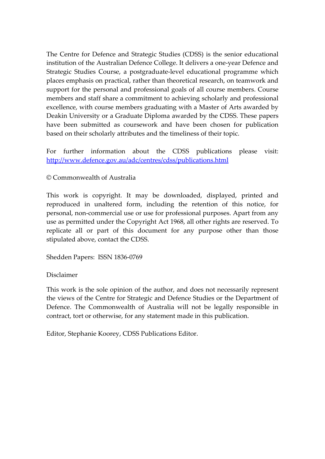The Centre for Defence and Strategic Studies (CDSS) is the senior educational institution of the Australian Defence College. It delivers a one‐year Defence and Strategic Studies Course, a postgraduate‐level educational programme which places emphasis on practical, rather than theoretical research, on teamwork and support for the personal and professional goals of all course members. Course members and staff share a commitment to achieving scholarly and professional excellence, with course members graduating with a Master of Arts awarded by Deakin University or a Graduate Diploma awarded by the CDSS. These papers have been submitted as coursework and have been chosen for publication based on their scholarly attributes and the timeliness of their topic.

For further information about the CDSS publications please visit: <http://www.defence.gov.au/adc/centres/cdss/publications.html>

### © Commonwealth of Australia

This work is copyright. It may be downloaded, displayed, printed and reproduced in unaltered form, including the retention of this notice, for personal, non‐commercial use or use for professional purposes. Apart from any use as permitted under the Copyright Act 1968, all other rights are reserved. To replicate all or part of this document for any purpose other than those stipulated above, contact the CDSS.

Shedden Papers: ISSN 1836‐0769

Disclaimer

This work is the sole opinion of the author, and does not necessarily represent the views of the Centre for Strategic and Defence Studies or the Department of Defence. The Commonwealth of Australia will not be legally responsible in contract, tort or otherwise, for any statement made in this publication.

Editor, Stephanie Koorey, CDSS Publications Editor.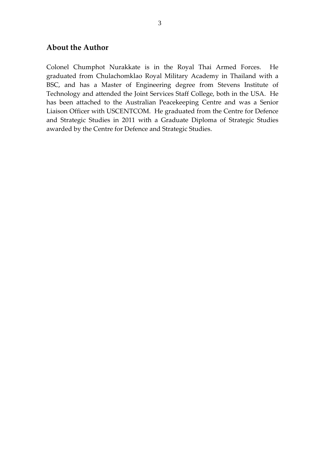#### **About the Author**

Colonel Chumphot Nurakkate is in the Royal Thai Armed Forces. He graduated from Chulachomklao Royal Military Academy in Thailand with a BSC, and has a Master of Engineering degree from Stevens Institute of Technology and attended the Joint Services Staff College, both in the USA. He has been attached to the Australian Peacekeeping Centre and was a Senior Liaison Officer with USCENTCOM. He graduated from the Centre for Defence and Strategic Studies in 2011 with a Graduate Diploma of Strategic Studies awarded by the Centre for Defence and Strategic Studies.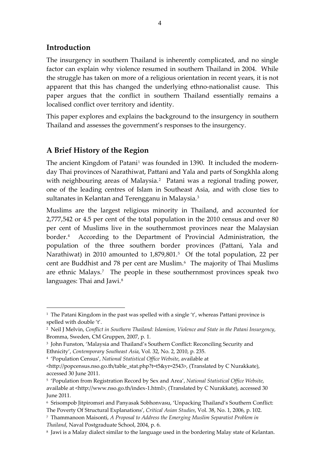## **Introduction**

1

The insurgency in southern Thailand is inherently complicated, and no single factor can explain why violence resumed in southern Thailand in 2004. While the struggle has taken on more of a religious orientation in recent years, it is not apparent that this has changed the underlying ethno‐nationalist cause. This paper argues that the conflict in southern Thailand essentially remains a localised conflict over territory and identity.

This paper explores and explains the background to the insurgency in southern Thailand and assesses the government's responses to the insurgency.

## **A Brief History of the Region**

The ancient Kingdom of Patani<sup>[1](#page-4-0)</sup> was founded in 1390. It included the modernday Thai provinces of Narathiwat, Pattani and Yala and parts of Songkhla along with neighbouring areas of Malaysia.<sup>[2](#page-4-1)</sup> Patani was a regional trading power, one of the leading centres of Islam in Southeast Asia, and with close ties to sultanates in Kelantan and Terengganu in Malaysia.<sup>[3](#page-4-2)</sup>

Muslims are the largest religious minority in Thailand, and accounted for 2,777,542 or 4.5 per cent of the total population in the 2010 census and over 80 per cent of Muslims live in the southernmost provinces near the Malaysian border.<sup>[4](#page-4-3)</sup> According to the Department of Provincial Administration, the population of the three southern border provinces (Pattani, Yala and Narathiwat) in 2010 amounted to 1,879,801.<sup>[5](#page-4-4)</sup> Of the total population, 22 per cent are Buddhist and 78 per cent are Muslim.[6](#page-4-5) The majority of Thai Muslims are ethnic Malays.<sup>[7](#page-4-6)</sup> The people in these southernmost provinces speak two languages: Thai and Jawi.<sup>[8](#page-4-7)</sup>

<span id="page-4-0"></span><sup>&</sup>lt;sup>1</sup> The Patani Kingdom in the past was spelled with a single 't', whereas Pattani province is spelled with double 't'.

<span id="page-4-1"></span><sup>2</sup> Neil J Melvin, *Conflict in Southern Thailand: Islamism, Violence and State in the Patani Insurgency*, Bromma, Sweden, CM Gruppen, 2007, p. 1.

<span id="page-4-2"></span><sup>3</sup> John Funston, 'Malaysia and Thailand's Southern Conflict: Reconciling Security and Ethnicity', *Contemporary Southeast Asia*, Vol. 32, No. 2, 2010, p. 235.

<span id="page-4-3"></span><sup>4</sup> 'Population Census', *National Statistical Office Website*, available at

<sup>&</sup>lt;http://popcensus.nso.go.th/table\_stat.php?t=t5&yr=2543>, (Translated by C Nurakkate), accessed 30 June 2011.

<span id="page-4-4"></span><sup>5</sup> 'Population from Registration Record by Sex and Area', *National Statistical Office Website*, available at <http://www.nso.go.th/index‐1.html>, (Translated by C Nurakkate), accessed 30 June 2011.

<span id="page-4-5"></span><sup>6</sup> Srisompob Jitpiromsri and Panyasak Sobhonvasu, 'Unpacking Thailand's Southern Conflict: The Poverty Of Structural Explanations', *Critical Asian Studies*, Vol. 38, No. 1, 2006, p. 102.

<span id="page-4-6"></span><sup>7</sup> Thammanoon Maisonti, *A Proposal to Address the Emerging Muslim Separatist Problem in*

*Thailand*, Naval Postgraduate School, 2004, p. 6.

<span id="page-4-7"></span><sup>8</sup> Jawi is a Malay dialect similar to the language used in the bordering Malay state of Kelantan.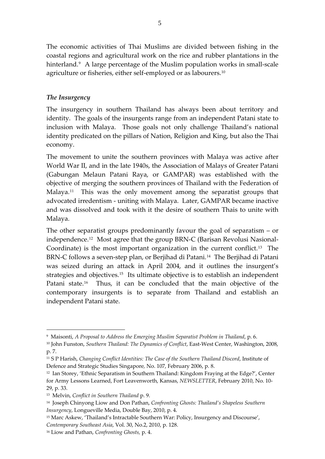The economic activities of Thai Muslims are divided between fishing in the coastal regions and agricultural work on the rice and rubber plantations in the hinterland.<sup>[9](#page-5-0)</sup> A large percentage of the Muslim population works in small-scale agriculture or fisheries, either self‐employed or as labourers.[10](#page-5-1)

### *The Insurgency*

The insurgency in southern Thailand has always been about territory and identity. The goals of the insurgents range from an independent Patani state to inclusion with Malaya. Those goals not only challenge Thailand's national identity predicated on the pillars of Nation, Religion and King, but also the Thai economy.

The movement to unite the southern provinces with Malaya was active after World War II, and in the late 1940s, the Association of Malays of Greater Patani (Gabungan Melaun Patani Raya, or GAMPAR) was established with the objective of merging the southern provinces of Thailand with the Federation of Malaya.<sup>[11](#page-5-2)</sup> This was the only movement among the separatist groups that advocated irredentism ‐ uniting with Malaya. Later, GAMPAR became inactive and was dissolved and took with it the desire of southern Thais to unite with Malaya.

The other separatist groups predominantly favour the goal of separatism – or independence.<sup>[12](#page-5-3)</sup> Most agree that the group BRN-C (Barisan Revolusi Nasional-Coordinate) is the most important organization in the current conflict.<sup>[13](#page-5-4)</sup> The BRN-C follows a seven-step plan, or Berjihad di Patani.<sup>[14](#page-5-5)</sup> The Berjihad di Patani was seized during an attack in April 2004, and it outlines the insurgent's strategies and objectives.<sup>[15](#page-5-6)</sup> Its ultimate objective is to establish an independent Patani state.<sup>[16](#page-5-7)</sup> Thus, it can be concluded that the main objective of the contemporary insurgents is to separate from Thailand and establish an independent Patani state.

1

<span id="page-5-0"></span><sup>9</sup> Maisonti, *A Proposal to Address the Emerging Muslim Separatist Problem in Thailand*, p. 6.

<span id="page-5-1"></span><sup>10</sup> John Funston, *Southern Thailand: The Dynamics of Conflict*, East‐West Center, Washington, 2008, p. 7.

<span id="page-5-2"></span><sup>11</sup> S P Harish, *Changing Conflict Identities: The Case of the Southern Thailand Discord*, Institute of Defence and Strategic Studies Singapore*,* No. 107, February 2006, p. 8.

<span id="page-5-3"></span><sup>12</sup> Ian Storey, 'Ethnic Separatism in Southern Thailand: Kingdom Fraying at the Edge?', Center for Army Lessons Learned, Fort Leavenworth, Kansas, *NEWSLETTER*, February 2010, No. 10‐ 29, p. 33.

<span id="page-5-4"></span><sup>13</sup> Melvin, *Conflict in Southern Thailand* p. 9.

<span id="page-5-5"></span><sup>14</sup> Joseph Chinyong Liow and Don Pathan, *Confronting Ghosts: Thailand's Shapeless Southern Insurgency*, Longueville Media, Double Bay, 2010, p. 4.

<span id="page-5-6"></span><sup>15</sup> Marc Askew, 'Thailand's Intractable Southern War: Policy, Insurgency and Discourse', *Contemporary Southeast Asia*, Vol. 30, No.2, 2010, p. 128.

<span id="page-5-7"></span><sup>16</sup> Liow and Pathan, *Confronting Ghosts,* p. 4.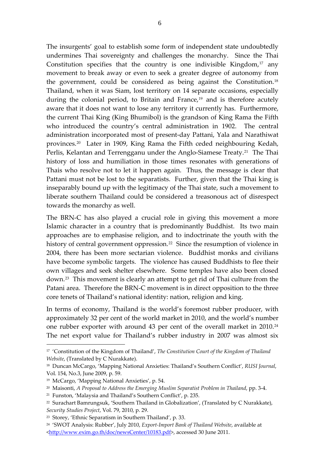The insurgents' goal to establish some form of independent state undoubtedly undermines Thai sovereignty and challenges the monarchy. Since the Thai Constitution specifies that the country is one indivisible Kingdom, $17$  any movement to break away or even to seek a greater degree of autonomy from the government, could be considered as being against the Constitution.[18](#page-6-1) Thailand, when it was Siam, lost territory on 14 separate occasions, especially during the colonial period, to Britain and France,<sup>[19](#page-6-2)</sup> and is therefore acutely aware that it does not want to lose any territory it currently has. Furthermore, the current Thai King (King Bhumibol) is the grandson of King Rama the Fifth who introduced the country's central administration in 1902. The central administration incorporated most of present‐day Pattani, Yala and Narathiwat provinces.[20](#page-6-3) Later in 1909, King Rama the Fifth ceded neighbouring Kedah, Perlis, Kelantan and Terrengganu under the Anglo-Siamese Treaty.<sup>[21](#page-6-4)</sup> The Thai history of loss and humiliation in those times resonates with generations of Thais who resolve not to let it happen again. Thus, the message is clear that Pattani must not be lost to the separatists. Further, given that the Thai king is inseparably bound up with the legitimacy of the Thai state, such a movement to liberate southern Thailand could be considered a treasonous act of disrespect towards the monarchy as well.

The BRN-C has also played a crucial role in giving this movement a more Islamic character in a country that is predominantly Buddhist. Its two main approaches are to emphasise religion, and to indoctrinate the youth with the history of central government oppression.<sup>[22](#page-6-5)</sup> Since the resumption of violence in 2004, there has been more sectarian violence. Buddhist monks and civilians have become symbolic targets. The violence has caused Buddhists to flee their own villages and seek shelter elsewhere. Some temples have also been closed down.[23](#page-6-6) This movement is clearly an attempt to get rid of Thai culture from the Patani area. Therefore the BRN‐C movement is in direct opposition to the three core tenets of Thailand's national identity: nation, religion and king.

In terms of economy, Thailand is the world's foremost rubber producer, with approximately 32 per cent of the world market in 2010, and the world's number one rubber exporter with around 43 per cent of the overall market in 2010.[24](#page-6-7) The net export value for Thailand's rubber industry in 2007 was almost six

<span id="page-6-0"></span><sup>17</sup> 'Constitution of the Kingdom of Thailand', *The Constitution Court of the Kingdom of Thailand Website*, (Translated by C Nurakkate).

<span id="page-6-1"></span><sup>18</sup> Duncan McCargo, 'Mapping National Anxieties: Thailand's Southern Conflict', *RUSI Journal*, Vol. 154, No.3, June 2009, p. 59.

<span id="page-6-2"></span><sup>19</sup> McCargo, 'Mapping National Anxieties', p. 54.

<span id="page-6-3"></span><sup>20</sup> Maisonti, *A Proposal to Address the Emerging Muslim Separatist Problem in Thailand*, pp. 3‐4.

<span id="page-6-4"></span><sup>21</sup> Funston, 'Malaysia and Thailand's Southern Conflict', p. 235.

<span id="page-6-5"></span><sup>22</sup> Surachart Bamrungsuk, 'Southern Thailand in Globalization', (Translated by C Nurakkate), *Security Studies Project*, Vol. 79, 2010, p. 29.

<span id="page-6-6"></span><sup>23</sup> Storey, 'Ethnic Separatism in Southern Thailand', p. 33.

<span id="page-6-7"></span><sup>24</sup> 'SWOT Analysis: Rubber', July 2010, *Export‐Import Bank of Thailand Website*, available at [<http://www.exim.go.th/doc/newsCenter/10183.pdf](http://www.exim.go.th/doc/newsCenter/10183.pdf)>, accessed 30 June 2011.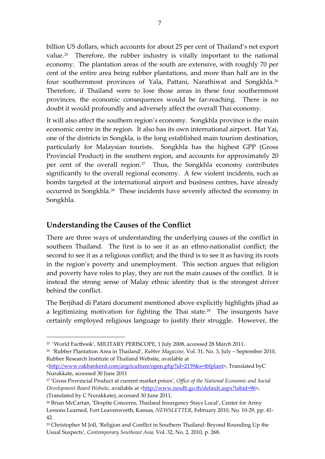billion US dollars, which accounts for about 25 per cent of Thailand's net export value.<sup>[25](#page-7-0)</sup> Therefore, the rubber industry is vitally important to the national economy. The plantation areas of the south are extensive, with roughly 70 per cent of the entire area being rubber plantations, and more than half are in the four southernmost provinces of Yala, Pattani, Narathiwat and Songkhla.[26](#page-7-1) Therefore, if Thailand were to lose those areas in these four southernmost provinces, the economic consequences would be far-reaching. There is no doubt it would profoundly and adversely affect the overall Thai economy.

It will also affect the southern region's economy. Songkhla province is the main economic centre in the region. It also has its own international airport. Hat Yai, one of the districts in Songkla, is the long established main tourism destination, particularly for Malaysian tourists. Songkhla has the highest GPP (Gross Provincial Product) in the southern region, and accounts for approximately 20 per cent of the overall region.<sup>[27](#page-7-2)</sup> Thus, the Songkhla economy contributes significantly to the overall regional economy. A few violent incidents, such as bombs targeted at the international airport and business centres, have already occurred in Songkhla.<sup>[28](#page-7-3)</sup> These incidents have severely affected the economy in Songkhla.

## **Understanding the Causes of the Conflict**

<u>.</u>

There are three ways of understanding the underlying causes of the conflict in southern Thailand. The first is to see it as an ethno-nationalist conflict; the second to see it as a religious conflict; and the third is to see it as having its roots in the region's poverty and unemployment. This section argues that religion and poverty have roles to play, they are not the main causes of the conflict. It is instead the strong sense of Malay ethnic identity that is the strongest driver behind the conflict.

The Berjihad di Patani document mentioned above explicitly highlights jihad as a legitimizing motivation for fighting the Thai state.<sup>[29](#page-7-4)</sup> The insurgents have certainly employed religious language to justify their struggle. However, the

<span id="page-7-0"></span><sup>25</sup> 'World Factbook', MILITARY PERISCOPE, 1 July 2008, accessed 28 March 2011.

<span id="page-7-1"></span><sup>26</sup> 'Rubber Plantation Area in Thailand', *Rubber Magazine,* Vol. 31, No. 3, July – September 2010, Rubber Research Institute of Thailand Website, available at

[<sup>&</sup>lt;http://www.rakbankerd.com/argriculture/open.php?id=2159&s=tblplant](http://www.rakbankerd.com/argriculture/open.php?id=2159&s=tblplant)>, Translated byC Nurakkate, accessed 30 June 2011

<span id="page-7-2"></span><sup>27</sup> 'Gross Provincial Product at current market prices', *Office of the National Economic and Social Development Board Website*, available at [<http://www.nesdb.go.th/default.aspx?tabid=96](http://www.nesdb.go.th/default.aspx?tabid=96)>, (Translated by C Nurakkate), accessed 30 June 2011,

<span id="page-7-3"></span><sup>28</sup> Brian McCartan, 'Despite Concerns, Thailand Insurgency Stays Local', Center for Army Lessons Learned, Fort Leavenworth, Kansas, *NEWSLETTER*, February 2010, No. 10‐29, pp. 41‐ 42.

<span id="page-7-4"></span><sup>29</sup> Christopher M Joll, 'Religion and Conflict in Southern Thailand: Beyond Rounding Up the Usual Suspects', *Contemporary Southeast Asia,* Vol. 32, No. 2, 2010, p. 268.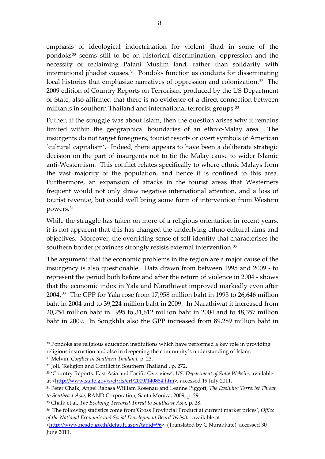emphasis of ideological indoctrination for violent jihad in some of the pondoks<sup>[30](#page-8-0)</sup> seems still to be on historical discrimination, oppression and the necessity of reclaiming Patani Muslim land, rather than solidarity with international jihadist causes.<sup>[31](#page-8-1)</sup> Pondoks function as conduits for disseminating local histories that emphasize narratives of oppression and colonization.<sup>[32](#page-8-2)</sup> The 2009 edition of Country Reports on Terrorism, produced by the US Department of State, also affirmed that there is no evidence of a direct connection between militants in southern Thailand and international terrorist groups.<sup>[33](#page-8-3)</sup>

Futher, if the struggle was about Islam, then the question arises why it remains limited within the geographical boundaries of an ethnic‐Malay area. The insurgents do not target foreigners, tourist resorts or overt symbols of American 'cultural capitalism'. Indeed, there appears to have been a deliberate strategic decision on the part of insurgents not to tie the Malay cause to wider Islamic anti‐Westernism. This conflict relates specifically to where ethnic Malays form the vast majority of the population, and hence it is confined to this area. Furthermore, an expansion of attacks in the tourist areas that Westerners frequent would not only draw negative international attention, and a loss of tourist revenue, but could well bring some form of intervention from Western powers.[34](#page-8-4)

While the struggle has taken on more of a religious orientation in recent years, it is not apparent that this has changed the underlying ethno‐cultural aims and objectives. Moreover, the overriding sense of self‐identity that characterises the southern border provinces strongly resists external intervention.<sup>[35](#page-8-5)</sup>

The argument that the economic problems in the region are a major cause of the insurgency is also questionable. Data drawn from between 1995 and 2009 ‐ to represent the period both before and after the return of violence in 2004 ‐ shows that the economic index in Yala and Narathiwat improved markedly even after 2004. [36](#page-8-6) The GPP for Yala rose from 17,958 million baht in 1995 to 26,646 million baht in 2004 and to 39,224 million baht in 2009. In Narathiwat it increased from 20,754 million baht in 1995 to 31,612 million baht in 2004 and to 48,357 million baht in 2009. In Songkhla also the GPP increased from 89,289 million baht in

<span id="page-8-0"></span><sup>30</sup> Pondoks are religious education institutions which have performed a key role in providing religious instruction and also in deepening the community's understanding of Islam.

<span id="page-8-1"></span><sup>31</sup> Melvin, *Conflict in Southern Thailand*, p. 23.

<span id="page-8-2"></span><sup>32</sup> Joll, 'Religion and Conflict in Southern Thailand', p. 272.

<span id="page-8-3"></span><sup>33</sup> 'Country Reports: East Asia and Pacific Overview', *US. Department of State Website*, available at <[http://www.state.gov/s/ct/rls/crt/2009/140884.htm>](http://www.state.gov/s/ct/rls/crt/2009/140884.htm), accessed 19 July 2011.

<span id="page-8-4"></span><sup>34</sup> Peter Chalk, Angel Rabasa William Rosenau and Leanne Piggott, *The Evolving Terrorist Threat to Southeast Asia*, RAND Corporation, Santa Monica, 2009, p. 29.

<span id="page-8-5"></span><sup>35</sup> Chalk et al, *The Evolving Terrorist Threat to Southeast Asia*, p. 28.

<span id="page-8-6"></span><sup>36</sup> The following statistics come from'Gross Provincial Product at current market prices', *Office of the National Economic and Social Development Board Website*, available at

[<sup>&</sup>lt;http://www.nesdb.go.th/default.aspx?tabid=96](http://www.nesdb.go.th/default.aspx?tabid=96)>, (Translated by C Nurakkate), accessed 30 June 2011.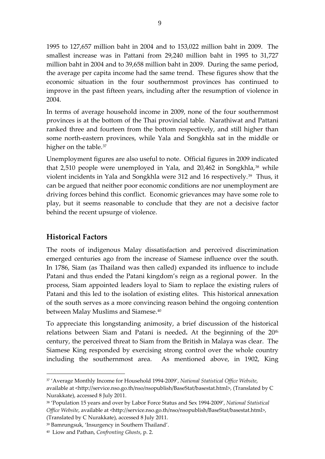1995 to 127,657 million baht in 2004 and to 153,022 million baht in 2009. The smallest increase was in Pattani from 29,240 million baht in 1995 to 31,727 million baht in 2004 and to 39,658 million baht in 2009. During the same period, the average per capita income had the same trend. These figures show that the economic situation in the four southernmost provinces has continued to improve in the past fifteen years, including after the resumption of violence in 2004.

In terms of average household income in 2009, none of the four southernmost provinces is at the bottom of the Thai provincial table. Narathiwat and Pattani ranked three and fourteen from the bottom respectively, and still higher than some north-eastern provinces, while Yala and Songkhla sat in the middle or higher on the table.<sup>[37](#page-9-0)</sup>

Unemployment figures are also useful to note. Official figures in 2009 indicated that  $2,510$  people were unemployed in Yala, and  $20,462$  in Songkhla,<sup>[38](#page-9-1)</sup> while violent incidents in Yala and Songkhla were 312 and 16 respectively.<sup>[39](#page-9-2)</sup> Thus, it can be argued that neither poor economic conditions are nor unemployment are driving forces behind this conflict. Economic grievances may have some role to play, but it seems reasonable to conclude that they are not a decisive factor behind the recent upsurge of violence.

## **Historical Factors**

1

The roots of indigenous Malay dissatisfaction and perceived discrimination emerged centuries ago from the increase of Siamese influence over the south. In 1786, Siam (as Thailand was then called) expanded its influence to include Patani and thus ended the Patani kingdom's reign as a regional power. In the process, Siam appointed leaders loyal to Siam to replace the existing rulers of Patani and this led to the isolation of existing elites. This historical annexation of the south serves as a more convincing reason behind the ongoing contention between Malay Muslims and Siamese.<sup>40</sup>

To appreciate this longstanding animosity, a brief discussion of the historical relations between Siam and Patani is needed. At the beginning of the 20<sup>th</sup> century, the perceived threat to Siam from the British in Malaya was clear. The Siamese King responded by exercising strong control over the whole country including the southernmost area. As mentioned above, in 1902, King

<span id="page-9-0"></span><sup>37</sup> 'Average Monthly Income for Household 1994‐2009', *National Statistical Office Website*, available at <http://service.nso.go.th/nso/nsopublish/BaseStat/basestat.html>, (Translated by C Nurakkate), accessed 8 July 2011.

<span id="page-9-1"></span><sup>38</sup> 'Population 15 years and over by Labor Force Status and Sex 1994‐2009', *National Statistical Office Website*, available at <http://service.nso.go.th/nso/nsopublish/BaseStat/basestat.html>, (Translated by C Nurakkate), accessed 8 July 2011.

<span id="page-9-2"></span><sup>39</sup> Bamrungsuk, 'Insurgency in Southern Thailand'.

<span id="page-9-3"></span><sup>40</sup> Liow and Pathan, *Confronting Ghosts*, p. 2.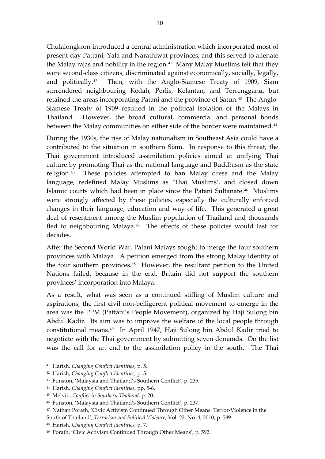Chulalongkorn introduced a central administration which incorporated most of present‐day Pattani, Yala and Narathiwat provinces, and this served to alienate the Malay rajas and nobility in the region.<sup>[41](#page-10-0)</sup> Many Malay Muslims felt that they were second-class citizens, discriminated against economically, socially, legally, and politically.<sup>[42](#page-10-1)</sup> Then, with the Anglo-Siamese Treaty of 1909, Siam surrendered neighbouring Kedah, Perlis, Kelantan, and Terrengganu, but retained the areas incorporating Patani and the province of Satun.<sup>[43](#page-10-2)</sup> The Anglo-Siamese Treaty of 1909 resulted in the political isolation of the Malays in Thailand. However, the broad cultural, commercial and personal bonds between the Malay communities on either side of the border were maintained.<sup>[44](#page-10-3)</sup>

During the 1930s, the rise of Malay nationalism in Southeast Asia could have a contributed to the situation in southern Siam. In response to this threat, the Thai government introduced assimilation policies aimed at unifying Thai culture by promoting Thai as the national language and Buddhism as the state religion.<sup>[45](#page-10-4)</sup> These policies attempted to ban Malay dress and the Malay language, redefined Malay Muslims as 'Thai Muslims', and closed down Islamic courts which had been in place since the Patani Sultanate.<sup>[46](#page-10-5)</sup> Muslims were strongly affected by these policies, especially the culturally enforced changes in their language, education and way of life. This generated a great deal of resentment among the Muslim population of Thailand and thousands fled to neighbouring Malaya. $47$  The effects of these policies would last for decades.

After the Second World War, Patani Malays sought to merge the four southern provinces with Malaya. A petition emerged from the strong Malay identity of the four southern provinces.<sup>[48](#page-10-7)</sup> However, the resultant petition to the United Nations failed, because in the end, Britain did not support the southern provinces' incorporation into Malaya.

As a result, what was seen as a continued stifling of Muslim culture and aspirations, the first civil non‐belligerent political movement to emerge in the area was the PPM (Pattani's People Movement), organized by Haji Sulong bin Abdul Kadir. Its aim was to improve the welfare of the local people through constitutional means.[49](#page-10-8) In April 1947, Haji Sulong bin Abdul Kadir tried to negotiate with the Thai government by submitting seven demands. On the list was the call for an end to the assimilation policy in the south. The Thai

<span id="page-10-0"></span><sup>41</sup> Harish, *Changing Conflict Identities*, p. 5.

<span id="page-10-1"></span><sup>42</sup> Harish, *Changing Conflict Identities,* p. 5.

<span id="page-10-2"></span><sup>43</sup> Funston, 'Malaysia and Thailand's Southern Conflict', p. 235.

<span id="page-10-3"></span><sup>44</sup> Harish, *Changing Conflict Identities*, pp. 5‐6.

<span id="page-10-4"></span><sup>45</sup> Melvin, *Conflict in Southern Thailand,* p. 20.

<span id="page-10-5"></span><sup>46</sup> Funston, 'Malaysia and Thailand's Southern Conflict', p. 237.

<span id="page-10-6"></span><sup>47</sup> Nathan Porath, 'Civic Activism Continued Through Other Means: Terror‐Violence in the South of Thailand', *Terrorism and Political Violence*, Vol. 22, No. 4, 2010, p. 589.

<span id="page-10-7"></span><sup>48</sup> Harish, *Changing Conflict Identities,* p. 7.

<span id="page-10-8"></span><sup>49</sup> Porath, 'Civic Activism Continued Through Other Means', p. 592.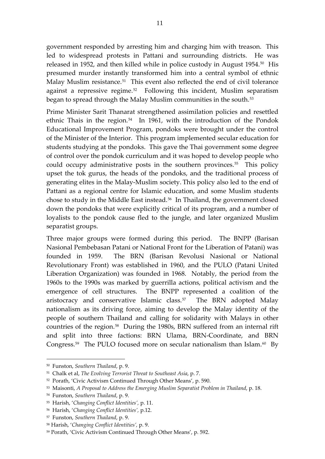government responded by arresting him and charging him with treason. This led to widespread protests in Pattani and surrounding districts. He was released in 1952, and then killed while in police custody in August 1954.[50](#page-11-0) His presumed murder instantly transformed him into a central symbol of ethnic Malay Muslim resistance.<sup>[51](#page-11-1)</sup> This event also reflected the end of civil tolerance against a repressive regime.<sup>[52](#page-11-2)</sup> Following this incident, Muslim separatism began to spread through the Malay Muslim communities in the south.<sup>[53](#page-11-3)</sup>

Prime Minister Sarit Thanarat strengthened assimilation policies and resettled ethnic Thais in the region.<sup>[54](#page-11-4)</sup> In 1961, with the introduction of the Pondok Educational Improvement Program, pondoks were brought under the control of the Minister of the Interior. This program implemented secular education for students studying at the pondoks. This gave the Thai government some degree of control over the pondok curriculum and it was hoped to develop people who could occupy administrative posts in the southern provinces. $55$  This policy upset the tok gurus, the heads of the pondoks, and the traditional process of generating elites in the Malay‐Muslim society. This policy also led to the end of Pattani as a regional centre for Islamic education, and some Muslim students chose to study in the Middle East instead.[56](#page-11-6) In Thailand, the government closed down the pondoks that were explicitly critical of its program, and a number of loyalists to the pondok cause fled to the jungle, and later organized Muslim separatist groups.

Three major groups were formed during this period. The BNPP (Barisan Nasional Pembebasan Patani or National Front for the Liberation of Patani) was founded in 1959. The BRN (Barisan Revolusi Nasional or National Revolutionary Front) was established in 1960, and the PULO (Patani United Liberation Organization) was founded in 1968. Notably, the period from the 1960s to the 1990s was marked by guerrilla actions, political activism and the emergence of cell structures. The BNPP represented a coalition of the aristocracy and conservative Islamic class.<sup>[57](#page-11-7)</sup> The BRN adopted Malay nationalism as its driving force, aiming to develop the Malay identity of the people of southern Thailand and calling for solidarity with Malays in other countries of the region.<sup>[58](#page-11-8)</sup> During the 1980s, BRN suffered from an internal rift and split into three factions: BRN Ulama, BRN‐Coordinate, and BRN Congress.<sup>[59](#page-11-9)</sup> The PULO focused more on secular nationalism than Islam.<sup>[60](#page-11-4)</sup> By

<span id="page-11-0"></span><sup>50</sup> Funston, *Southern Thailand*, p. 9.

<span id="page-11-1"></span><sup>51</sup> Chalk et al, *The Evolving Terrorist Threat to Southeast Asia*, p. 7.

<span id="page-11-2"></span><sup>52</sup> Porath, 'Civic Activism Continued Through Other Means', p. 590.

<span id="page-11-3"></span><sup>53</sup> Maisonti, *A Proposal to Address the Emerging Muslim Separatist Problem in Thailand*, p. 18.

<span id="page-11-4"></span><sup>54</sup> Funston, *Southern Thailand*, p. 9.

<span id="page-11-5"></span><sup>55</sup> Harish, '*Changing Conflict Identities',* p. 11.

<span id="page-11-6"></span><sup>56</sup> Harish, '*Changing Conflict Identities',* p.12.

<span id="page-11-7"></span><sup>57</sup> Funston, *Southern Thailand*, p. 9.

<span id="page-11-8"></span><sup>58</sup> Harish, '*Changing Conflict Identities',* p. 9.

<span id="page-11-9"></span><sup>59</sup> Porath, 'Civic Activism Continued Through Other Means', p. 592.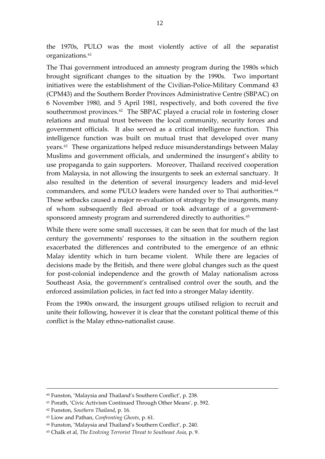the 1970s, PULO was the most violently active of all the separatist organizations.<sup>[61](#page-12-0)</sup>

The Thai government introduced an amnesty program during the 1980s which brought significant changes to the situation by the 1990s. Two important initiatives were the establishment of the Civilian‐Police‐Military Command 43 (CPM43) and the Southern Border Provinces Administrative Centre (SBPAC) on 6 November 1980, and 5 April 1981, respectively, and both covered the five southernmost provinces.<sup>[62](#page-12-1)</sup> The SBPAC played a crucial role in fostering closer relations and mutual trust between the local community, security forces and government officials. It also served as a critical intelligence function. This intelligence function was built on mutual trust that developed over many years.<sup>[63](#page-12-2)</sup> These organizations helped reduce misunderstandings between Malay Muslims and government officials, and undermined the insurgent's ability to use propaganda to gain supporters. Moreover, Thailand received cooperation from Malaysia, in not allowing the insurgents to seek an external sanctuary. It also resulted in the detention of several insurgency leaders and mid‐level commanders, and some PULO leaders were handed over to Thai authorities.<sup>[64](#page-12-3)</sup> These setbacks caused a major re-evaluation of strategy by the insurgents, many of whom subsequently fled abroad or took advantage of a government‐ sponsored amnesty program and surrendered directly to authorities.<sup>[65](#page-12-4)</sup>

While there were some small successes, it can be seen that for much of the last century the governments' responses to the situation in the southern region exacerbated the differences and contributed to the emergence of an ethnic Malay identity which in turn became violent. While there are legacies of decisions made by the British, and there were global changes such as the quest for post-colonial independence and the growth of Malay nationalism across Southeast Asia, the government's centralised control over the south, and the enforced assimilation policies, in fact fed into a stronger Malay identity.

From the 1990s onward, the insurgent groups utilised religion to recruit and unite their following, however it is clear that the constant political theme of this conflict is the Malay ethno‐nationalist cause.

<sup>60</sup> Funston, 'Malaysia and Thailand's Southern Conflict', p. 238.

<span id="page-12-0"></span><sup>61</sup> Porath, 'Civic Activism Continued Through Other Means', p. 592.

<span id="page-12-1"></span><sup>62</sup> Funston, *Southern Thailand*, p. 16.

<span id="page-12-2"></span><sup>63</sup> Liow and Pathan, *Confronting Ghosts*, p. 61.

<span id="page-12-3"></span><sup>64</sup> Funston, 'Malaysia and Thailand's Southern Conflict', p. 240.

<span id="page-12-4"></span><sup>65</sup> Chalk et al, *The Evolving Terrorist Threat to Southeast Asia*, p. 9.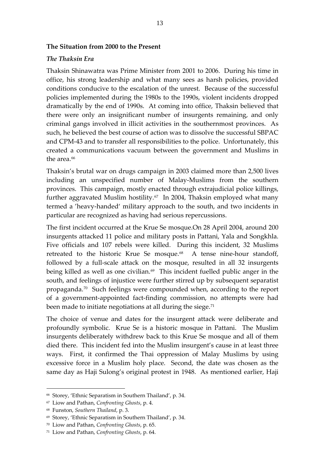#### **The Situation from 2000 to the Present**

#### *The Thaksin Era*

Thaksin Shinawatra was Prime Minister from 2001 to 2006. During his time in office, his strong leadership and what many sees as harsh policies, provided conditions conducive to the escalation of the unrest. Because of the successful policies implemented during the 1980s to the 1990s, violent incidents dropped dramatically by the end of 1990s. At coming into office, Thaksin believed that there were only an insignificant number of insurgents remaining, and only criminal gangs involved in illicit activities in the southernmost provinces. As such, he believed the best course of action was to dissolve the successful SBPAC and CPM‐43 and to transfer all responsibilities to the police. Unfortunately, this created a communications vacuum between the government and Muslims in the area.<sup>[66](#page-13-0)</sup>

Thaksin's brutal war on drugs campaign in 2003 claimed more than 2,500 lives including an unspecified number of Malay‐Muslims from the southern provinces. This campaign, mostly enacted through extrajudicial police killings, further aggravated Muslim hostility.<sup>[67](#page-13-1)</sup> In 2004, Thaksin employed what many termed a 'heavy‐handed' military approach to the south, and two incidents in particular are recognized as having had serious repercussions.

south, and feelings of injustice were further stirred up by subsequent separatist The first incident occurred at the Krue Se mosque.On 28 April 2004, around 200 insurgents attacked 11 police and military posts in Pattani, Yala and Songkhla. Five officials and 107 rebels were killed. During this incident, 32 Muslims retreated to the historic Krue Se mosque.<sup>[68](#page-13-2)</sup> A tense nine-hour standoff, followed by a full-scale attack on the mosque, resulted in all 32 insurgents being killed as well as one civilian.<sup>[69](#page-13-3)</sup> This incident fuelled public anger in the propaganda.[70](#page-13-4) Such feelings were compounded when, according to the report of a government‐appointed fact‐finding commission, no attempts were had been made to initiate negotiations at all during the siege. $71$ 

The choice of venue and dates for the insurgent attack were deliberate and profoundly symbolic. Krue Se is a historic mosque in Pattani. The Muslim insurgents deliberately withdrew back to this Krue Se mosque and all of them died there. This incident fed into the Muslim insurgent's cause in at least three ways. First, it confirmed the Thai oppression of Malay Muslims by using excessive force in a Muslim holy place. Second, the date was chosen as the same day as Haji Sulong's original protest in 1948. As mentioned earlier, Haji

<span id="page-13-0"></span><sup>66</sup> Storey, 'Ethnic Separatism in Southern Thailand', p. 34.

<span id="page-13-1"></span><sup>67</sup> Liow and Pathan, *Confronting Ghosts*, p. 4.

<span id="page-13-2"></span><sup>68</sup> Funston, *Southern Thailand*, p. 3.

<span id="page-13-3"></span><sup>69</sup> Storey, 'Ethnic Separatism in Southern Thailand', p. 34.

<span id="page-13-4"></span><sup>70</sup> Liow and Pathan, *Confronting Ghosts*, p. 65.

<span id="page-13-5"></span><sup>71</sup> Liow and Pathan, *Confronting Ghosts*, p. 64.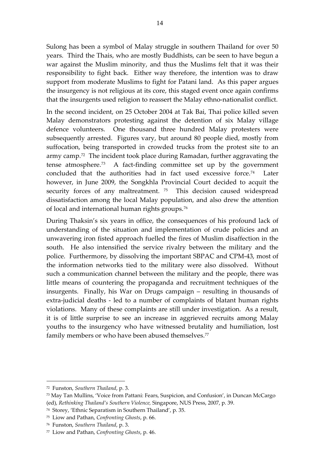Sulong has been a symbol of Malay struggle in southern Thailand for over 50 years. Third the Thais, who are mostly Buddhists, can be seen to have begun a war against the Muslim minority, and thus the Muslims felt that it was their responsibility to fight back. Either way therefore, the intention was to draw support from moderate Muslims to fight for Patani land. As this paper argues the insurgency is not religious at its core, this staged event once again confirms that the insurgents used religion to reassert the Malay ethno‐nationalist conflict.

of local and international human rights groups. $^{76}$ In the second incident, on 25 October 2004 at Tak Bai, Thai police killed seven Malay demonstrators protesting against the detention of six Malay village defence volunteers. One thousand three hundred Malay protesters were subsequently arrested. Figures vary, but around 80 people died, mostly from suffocation, being transported in crowded trucks from the protest site to an army camp.<sup>[72](#page-14-0)</sup> The incident took place during Ramadan, further aggravating the tense atmosphere.<sup>[73](#page-14-1)</sup> A fact-finding committee set up by the government concluded that the authorities had in fact used excessive force.<sup>[74](#page-14-2)</sup> Later however, in June 2009, the Songkhla Provincial Court decided to acquit the security forces of any maltreatment.<sup>[75](#page-14-3)</sup> This decision caused widespread dissatisfaction among the local Malay population, and also drew the attention

During Thaksin's six years in office, the consequences of his profound lack of understanding of the situation and implementation of crude policies and an unwavering iron fisted approach fuelled the fires of Muslim disaffection in the south. He also intensified the service rivalry between the military and the police. Furthermore, by dissolving the important SBPAC and CPM‐43, most of the information networks tied to the military were also dissolved. Without such a communication channel between the military and the people, there was little means of countering the propaganda and recruitment techniques of the insurgents. Finally, his War on Drugs campaign – resulting in thousands of extra-judicial deaths - led to a number of complaints of blatant human rights violations. Many of these complaints are still under investigation. As a result, it is of little surprise to see an increase in aggrieved recruits among Malay youths to the insurgency who have witnessed brutality and humiliation, lost family members or who have been abused themselves.<sup>[77](#page-14-4)</sup>

1

<span id="page-14-0"></span><sup>72</sup> Funston, *Southern Thailand*, p. 3.

<span id="page-14-1"></span><sup>73</sup> May Tan Mullins, 'Voice from Pattani: Fears, Suspicion, and Confusion', in Duncan McCargo (ed), *Rethinking Thailand's Southern Violence,* Singapore, NUS Press, 2007, p. 39.

<span id="page-14-2"></span><sup>74</sup> Storey, 'Ethnic Separatism in Southern Thailand', p. 35.

<span id="page-14-3"></span><sup>75</sup> Liow and Pathan, *Confronting Ghosts*, p. 66.

<sup>76</sup> Funston, *Southern Thailand*, p. 3.

<span id="page-14-4"></span><sup>77</sup> Liow and Pathan, *Confronting Ghosts*, p. 46.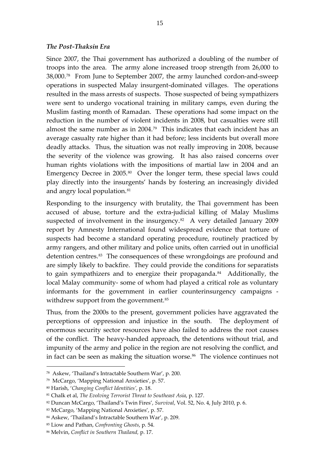#### *The Post‐Thaksin Era*

Since 2007, the Thai government has authorized a doubling of the number of troops into the area. The army alone increased troop strength from 26,000 to 38,000.[78](#page-15-0) From June to September 2007, the army launched cordon‐and‐sweep operations in suspected Malay insurgent‐dominated villages. The operations resulted in the mass arrests of suspects. Those suspected of being sympathizers were sent to undergo vocational training in military camps, even during the Muslim fasting month of Ramadan. These operations had some impact on the reduction in the number of violent incidents in 2008, but casualties were still almost the same number as in 2004.[79](#page-15-1) This indicates that each incident has an average casualty rate higher than it had before; less incidents but overall more deadly attacks. Thus, the situation was not really improving in 2008, because the severity of the violence was growing. It has also raised concerns over human rights violations with the impositions of martial law in 2004 and an Emergency Decree in 2005.<sup>[80](#page-15-2)</sup> Over the longer term, these special laws could play directly into the insurgents' hands by fostering an increasingly divided and angry local population.<sup>[81](#page-15-3)</sup>

Responding to the insurgency with brutality, the Thai government has been accused of abuse, torture and the extra‐judicial killing of Malay Muslims suspected of involvement in the insurgency. $82$  A very detailed January 2009 report by Amnesty International found widespread evidence that torture of suspects had become a standard operating procedure, routinely practiced by army rangers, and other military and police units, often carried out in unofficial detention centres.<sup>[83](#page-15-5)</sup> The consequences of these wrongdoings are profound and are simply likely to backfire. They could provide the conditions for separatists to gain sympathizers and to energize their propaganda.<sup>[84](#page-15-6)</sup> Additionally, the local Malay community‐ some of whom had played a critical role as voluntary informants for the government in earlier counterinsurgency campaigns ‐ withdrew support from the government.<sup>[85](#page-15-7)</sup>

Thus, from the 2000s to the present, government policies have aggravated the perceptions of oppression and injustice in the south. The deployment of enormous security sector resources have also failed to address the root causes of the conflict. The heavy‐handed approach, the detentions without trial, and impunity of the army and police in the region are not resolving the conflict, and in fact can be seen as making the situation worse.<sup>[86](#page-15-8)</sup> The violence continues not

<span id="page-15-0"></span><sup>78</sup> Askew, 'Thailand's Intractable Southern War', p. 200.

<span id="page-15-1"></span><sup>79</sup> McCargo, 'Mapping National Anxieties', p. 57.

<span id="page-15-2"></span><sup>80</sup> Harish, '*Changing Conflict Identities',* p. 18.

<span id="page-15-3"></span><sup>81</sup> Chalk et al, *The Evolving Terrorist Threat to Southeast Asia*, p. 127.

<span id="page-15-4"></span><sup>82</sup> Duncan McCargo, 'Thailand's Twin Fires', *Survival*, Vol. 52, No. 4, July 2010, p. 6.

<span id="page-15-5"></span><sup>83</sup> McCargo, 'Mapping National Anxieties', p. 57.

<span id="page-15-6"></span><sup>84</sup> Askew, 'Thailand's Intractable Southern War', p. 209.

<span id="page-15-7"></span><sup>85</sup> Liow and Pathan, *Confronting Ghosts*, p. 54.

<span id="page-15-8"></span><sup>86</sup> Melvin, *Conflict in Southern Thailand,* p. 17.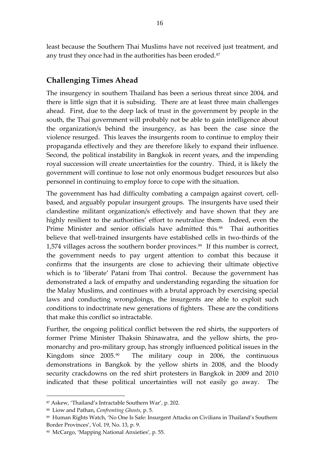least because the Southern Thai Muslims have not received just treatment, and any trust they once had in the authorities has been eroded.<sup>[87](#page-16-0)</sup>

## **Challenging Times Ahead**

The insurgency in southern Thailand has been a serious threat since 2004, and there is little sign that it is subsiding. There are at least three main challenges ahead. First, due to the deep lack of trust in the government by people in the south, the Thai government will probably not be able to gain intelligence about the organization/s behind the insurgency, as has been the case since the violence resurged. This leaves the insurgents room to continue to employ their propaganda effectively and they are therefore likely to expand their influence. Second, the political instability in Bangkok in recent years, and the impending royal succession will create uncertainties for the country. Third, it is likely the government will continue to lose not only enormous budget resources but also personnel in continuing to employ force to cope with the situation.

The government has had difficulty combating a campaign against covert, cellbased, and arguably popular insurgent groups. The insurgents have used their clandestine militant organization/s effectively and have shown that they are highly resilient to the authorities' effort to neutralize them. Indeed, even the Prime Minister and senior officials have admitted this.<sup>[88](#page-16-1)</sup> Thai authorities believe that well-trained insurgents have established cells in two-thirds of the 1,574 villages across the southern border provinces.<sup>[89](#page-16-2)</sup> If this number is correct, the government needs to pay urgent attention to combat this because it confirms that the insurgents are close to achieving their ultimate objective which is to 'liberate' Patani from Thai control. Because the government has demonstrated a lack of empathy and understanding regarding the situation for the Malay Muslims, and continues with a brutal approach by exercising special laws and conducting wrongdoings, the insurgents are able to exploit such conditions to indoctrinate new generations of fighters. These are the conditions that make this conflict so intractable.

Further, the ongoing political conflict between the red shirts, the supporters of former Prime Minister Thaksin Shinawatra, and the yellow shirts, the pro‐ monarchy and pro‐military group, has strongly influenced political issues in the Kingdom since 2005.<sup>[90](#page-16-3)</sup> The military coup in 2006, the continuous demonstrations in Bangkok by the yellow shirts in 2008, and the bloody security crackdowns on the red shirt protesters in Bangkok in 2009 and 2010 indicated that these political uncertainties will not easily go away. The

<span id="page-16-0"></span><sup>87</sup> Askew, 'Thailand's Intractable Southern War', p. 202.

<span id="page-16-1"></span><sup>88</sup> Liow and Pathan, *Confronting Ghosts*, p. 5.

<span id="page-16-2"></span><sup>89</sup> Human Rights Watch, 'No One Is Safe: Insurgent Attacks on Civilians in Thailand's Southern Border Provinces', Vol. 19, No. 13, p. 9.

<span id="page-16-3"></span><sup>90</sup> McCargo, 'Mapping National Anxieties', p. 55.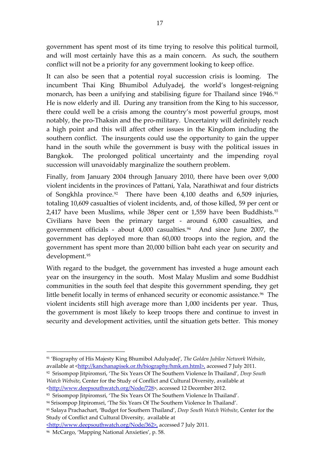government has spent most of its time trying to resolve this political turmoil, and will most certainly have this as a main concern. As such, the southern conflict will not be a priority for any government looking to keep office.

It can also be seen that a potential royal succession crisis is looming. The incumbent Thai King Bhumibol Adulyadej, the world's longest-reigning monarch, has been a unifying and stabilising figure for Thailand since 1946.<sup>[91](#page-17-0)</sup> He is now elderly and ill. During any transition from the King to his successor, there could well be a crisis among the country's most powerful groups, most notably, the pro‐Thaksin and the pro‐military. Uncertainty will definitely reach a high point and this will affect other issues in the Kingdom including the southern conflict. The insurgents could use the opportunity to gain the upper hand in the south while the government is busy with the political issues in Bangkok. The prolonged political uncertainty and the impending royal succession will unavoidably marginalize the southern problem.

Finally, from January 2004 through January 2010, there have been over 9,000 violent incidents in the provinces of Pattani, Yala, Narathiwat and four districts of Songkhla province.<sup>[92](#page-17-1)</sup> There have been  $4,100$  deaths and  $6,509$  injuries, totaling 10,609 casualties of violent incidents, and, of those killed, 59 per cent or 2,417 have been Muslims, while 38per cent or 1,559 have been Buddhists.<sup>[93](#page-17-2)</sup> Civilians have been the primary target ‐ around 6,000 casualties, and government officials - about  $4,000$  casualties.<sup>[94](#page-17-3)</sup> And since June 2007, the government has deployed more than 60,000 troops into the region, and the government has spent more than 20,000 billion baht each year on security and development.[95](#page-17-4)

With regard to the budget, the government has invested a huge amount each year on the insurgency in the south. Most Malay Muslim and some Buddhist communities in the south feel that despite this government spending, they get little benefit locally in terms of enhanced security or economic assistance.<sup>[96](#page-17-5)</sup> The violent incidents still high average more than 1,000 incidents per year. Thus, the government is most likely to keep troops there and continue to invest in security and development activities, until the situation gets better. This money

<span id="page-17-0"></span><sup>91</sup> 'Biography of His Majesty King Bhumibol Adulyadej', *The Golden Jubilee Network Website*, available at [<http://kanchanapisek.or.th/biography/hmk.en.html>,](http://kanchanapisek.or.th/biography/hmk.en.html%3E,) accessed 7 July 2011.

<span id="page-17-1"></span><sup>92</sup> Srisompop Jitpiromsri, 'The Six Years Of The Southern Violence In Thailand', *Deep South Watch Website*, Center for the Study of Conflict and Cultural Diversity, available at [<http://www.deepsouthwatch.org/Node/728>](http://www.deepsouthwatch.org/node/728), accessed 12 December 2012.

<span id="page-17-4"></span><sup>95</sup> Salaya Prachachart, 'Budget for Southern Thailand', *Deep South Watch Website*, Center for the Study of Conflict and Cultural Diversity, available at

<http://www.deepsouthwatch.org/Node/362>, accessed 7 July 2011.

<span id="page-17-2"></span><sup>93</sup> Srisompop Jitpiromsri, 'The Six Years Of The Southern Violence In Thailand'.

<span id="page-17-3"></span><sup>94</sup> Srisompop Jitpiromsri, 'The Six Years Of The Southern Violence In Thailand'.

<span id="page-17-5"></span><sup>96</sup> McCargo, 'Mapping National Anxieties', p. 58.